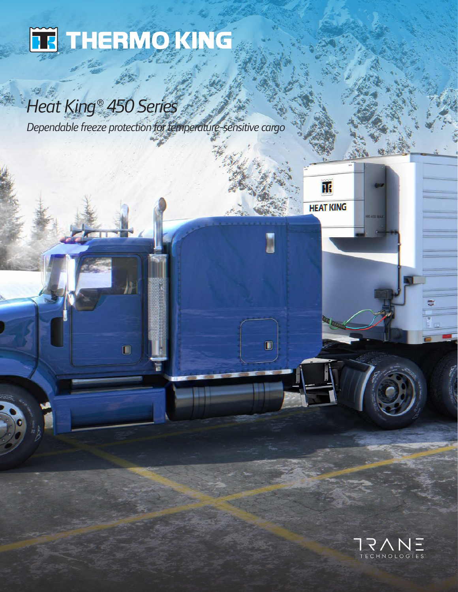

掛

 $\blacksquare$ 

# *Heat King® 450 Series*

*Dependable freeze protection for temperature-sensitive cargo*



正

**HEAT KING** 

I

 $\mathbf{C}$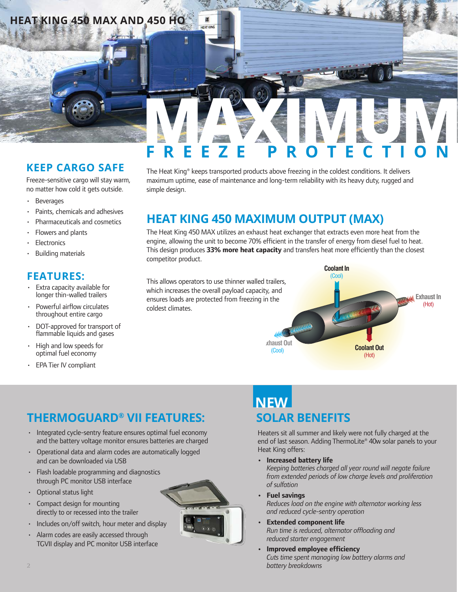# **HEAT KING 450 MAX AND 450 HO**

### **KEEP CARGO SAFE**

Freeze-sensitive cargo will stay warm, no matter how cold it gets outside.

- Beverages
- Paints, chemicals and adhesives
- Pharmaceuticals and cosmetics
- Flowers and plants
- **Electronics**
- Building materials

### **FEATURES:**

- Extra capacity available for longer thin-walled trailers
- Powerful airflow circulates throughout entire cargo
- DOT-approved for transport of flammable liquids and gases
- High and low speeds for optimal fuel economy
- **EPA Tier IV compliant**

# FREEZE PROTECTION **FREEZE PROTECTION**

The Heat King® keeps transported products above freezing in the coldest conditions. It delivers maximum uptime, ease of maintenance and long-term reliability with its heavy duty, rugged and simple design.

## **HEAT KING 450 MAXIMUM OUTPUT (MAX)**

The Heat King 450 MAX utilizes an exhaust heat exchanger that extracts even more heat from the engine, allowing the unit to become 70% efficient in the transfer of energy from diesel fuel to heat. This design produces **33% more heat capacity** and transfers heat more efficiently than the closest competitor product.

This allows operators to use thinner walled trailers, which increases the overall payload capacity, and ensures loads are protected from freezing in the coldest climates.

 $\mathbf{r}$ **CAT KING** 



### **THERMOGUARD® VII FEATURES:**

- Integrated cycle-sentry feature ensures optimal fuel economy and the battery voltage monitor ensures batteries are charged
- Operational data and alarm codes are automatically logged and can be downloaded via USB
- Flash loadable programming and diagnostics through PC monitor USB interface
- Optional status light
- Compact design for mounting directly to or recessed into the trailer
- Includes on/off switch, hour meter and display
- Alarm codes are easily accessed through TGVII display and PC monitor USB interface



## **SOLAR BENEFITS NEW**

Heaters sit all summer and likely were not fully charged at the end of last season. Adding ThermoLite® 40w solar panels to your Heat King offers:

**• Increased battery life**

*Keeping batteries charged all year round will negate failure from extended periods of low charge levels and proliferation of sulfation*

- **Fuel savings** *Reduces load on the engine with alternator working less and reduced cycle-sentry operation*
- **Extended component life** *Run time is reduced, alternator offloading and reduced starter engagement*
- **Improved employee efficiency** *Cuts time spent managing low battery alarms and battery breakdowns*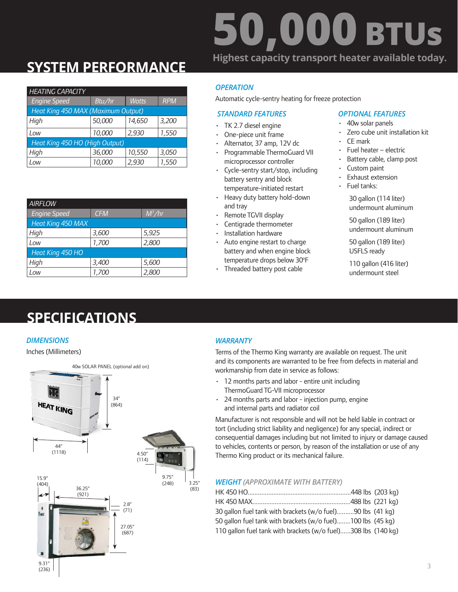# **50,000 BTUs Highest capacity transport heater available today.**

# **SYSTEM PERFORMANCE**

|                          | <b>OPERATION</b>                                     |            |              |        | <b>HEATING CAPACITY</b>            |
|--------------------------|------------------------------------------------------|------------|--------------|--------|------------------------------------|
|                          | Automatic cycle-sentry heating for freeze protection | <b>RPM</b> | <b>Watts</b> | Btu/hr | <b>Engine Speed</b>                |
| <b>OPTIOI</b>            | <b>STANDARD FEATURES</b>                             |            |              |        | Heat King 450 MAX (Maximum Output) |
| $-40w$                   | $\cdot$ TK 2.7 diesel engine                         | 3,200      | 14,650       | 50,000 | High                               |
| Zero                     | One-piece unit frame                                 | 1,550      | 2,930        | 10,000 | Low                                |
| $\cdot$ CE m             | Alternator, 37 amp, 12V dc                           |            |              |        | Heat King 450 HO (High Output)     |
| $\cdot$ Fuel             | Programmable ThermoGuard VII                         | 3,050      | 10,550       | 36,000 | High                               |
| <b>Batte</b><br>$C_{11}$ | microprocessor controller<br>.                       | 1,550      | 2,930        | 10,000 | Low                                |

| <b>AIRFLOW</b>           |            |          |
|--------------------------|------------|----------|
| <b>Engine Speed</b>      | <b>CFM</b> | $M^3/hr$ |
| <b>Heat King 450 MAX</b> |            |          |
| High                     | 3,600      | 5,925    |
| Low                      | 1,700      | 2,800    |
| Heat King 450 HO         |            |          |
| High                     | 3,400      | 5,600    |
| Low                      | 1,700      | 2,800    |

### *OPERATION*

#### *STANDARD FEATURES*

- TK 2.7 diesel engine
- One-piece unit frame
- Alternator, 37 amp, 12V dc
- Programmable ThermoGuard VII microprocessor controller
- Cycle-sentry start/stop, including battery sentry and block temperature-initiated restart
- Heavy duty battery hold-down and tray
- Remote TGVII display
- Centigrade thermometer
- Installation hardware
- Auto engine restart to charge battery and when engine block temperature drops below 30°F
- Threaded battery post cable

#### *OPTIONAL FEATURES*

- 40w solar panels
- Zero cube unit installation kit
- CE mark
- Fuel heater electric
- Battery cable, clamp post
- Custom paint
- Exhaust extension
- Fuel tanks:

30 gallon (114 liter) undermount aluminum

50 gallon (189 liter) undermount aluminum

50 gallon (189 liter) USFLS ready

110 gallon (416 liter) undermount steel

# **SPECIFICATIONS**

#### *DIMENSIONS*





### *WARRANTY*

Terms of the Thermo King warranty are available on request. The unit and its components are warranted to be free from defects in material and workmanship from date in service as follows:

- 12 months parts and labor entire unit including ThermoGuard TG-VII microprocessor
- 24 months parts and labor injection pump, engine and internal parts and radiator coil

Manufacturer is not responsible and will not be held liable in contract or tort (including strict liability and negligence) for any special, indirect or consequential damages including but not limited to injury or damage caused to vehicles, contents or person, by reason of the installation or use of any Thermo King product or its mechanical failure.

#### *WEIGHT (APPROXIMATE WITH BATTERY)*

| 30 gallon fuel tank with brackets (w/o fuel)90 lbs (41 kg)    |  |
|---------------------------------------------------------------|--|
| 50 gallon fuel tank with brackets (w/o fuel)100 lbs (45 kg)   |  |
| 110 gallon fuel tank with brackets (w/o fuel)308 lbs (140 kg) |  |